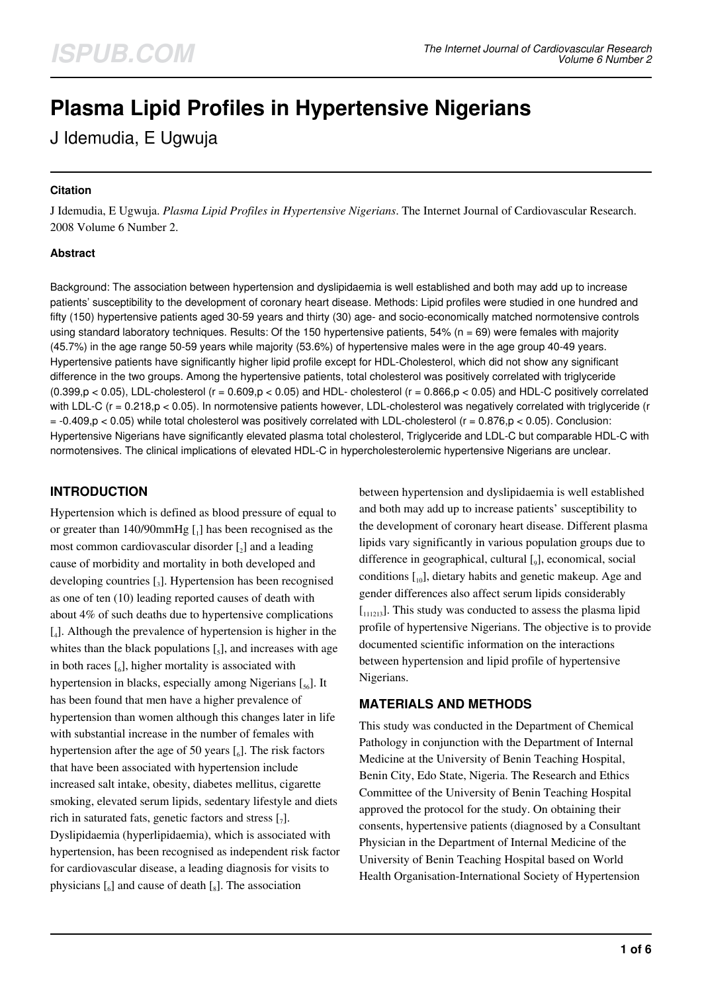# **Plasma Lipid Profiles in Hypertensive Nigerians**

J Idemudia, E Ugwuja

#### **Citation**

J Idemudia, E Ugwuja. *Plasma Lipid Profiles in Hypertensive Nigerians*. The Internet Journal of Cardiovascular Research. 2008 Volume 6 Number 2.

#### **Abstract**

Background: The association between hypertension and dyslipidaemia is well established and both may add up to increase patients' susceptibility to the development of coronary heart disease. Methods: Lipid profiles were studied in one hundred and fifty (150) hypertensive patients aged 30-59 years and thirty (30) age- and socio-economically matched normotensive controls using standard laboratory techniques. Results: Of the 150 hypertensive patients,  $54%$  ( $n = 69$ ) were females with majority (45.7%) in the age range 50-59 years while majority (53.6%) of hypertensive males were in the age group 40-49 years. Hypertensive patients have significantly higher lipid profile except for HDL-Cholesterol, which did not show any significant difference in the two groups. Among the hypertensive patients, total cholesterol was positively correlated with triglyceride  $(0.399,p < 0.05)$ , LDL-cholesterol (r = 0.609,p < 0.05) and HDL-cholesterol (r = 0.866,p < 0.05) and HDL-C positively correlated with LDL-C (r = 0.218,p < 0.05). In normotensive patients however, LDL-cholesterol was negatively correlated with triglyceride (r  $= -0.409$ ,p < 0.05) while total cholesterol was positively correlated with LDL-cholesterol ( $r = 0.876$ ,p < 0.05). Conclusion: Hypertensive Nigerians have significantly elevated plasma total cholesterol, Triglyceride and LDL-C but comparable HDL-C with normotensives. The clinical implications of elevated HDL-C in hypercholesterolemic hypertensive Nigerians are unclear.

# **INTRODUCTION**

Hypertension which is defined as blood pressure of equal to or greater than 140/90mmHg [1] has been recognised as the most common cardiovascular disorder  $\left[\right]_2$  and a leading cause of morbidity and mortality in both developed and developing countries  $\left[\begin{smallmatrix}3\end{smallmatrix}\right]$ . Hypertension has been recognised as one of ten (10) leading reported causes of death with about 4% of such deaths due to hypertensive complications [4 ]. Although the prevalence of hypertension is higher in the whites than the black populations  $\left[\right]$ , and increases with age in both races  $\left[\begin{smallmatrix}6\end{smallmatrix}\right]$ , higher mortality is associated with hypertension in blacks, especially among Nigerians [56]. It has been found that men have a higher prevalence of hypertension than women although this changes later in life with substantial increase in the number of females with hypertension after the age of 50 years  $\left[\right]$ . The risk factors that have been associated with hypertension include increased salt intake, obesity, diabetes mellitus, cigarette smoking, elevated serum lipids, sedentary lifestyle and diets rich in saturated fats, genetic factors and stress  $[\,_7]$ . Dyslipidaemia (hyperlipidaemia), which is associated with hypertension, has been recognised as independent risk factor for cardiovascular disease, a leading diagnosis for visits to physicians  $\begin{bmatrix} 6 \end{bmatrix}$  and cause of death  $\begin{bmatrix} 8 \end{bmatrix}$ . The association

between hypertension and dyslipidaemia is well established and both may add up to increase patients' susceptibility to the development of coronary heart disease. Different plasma lipids vary significantly in various population groups due to difference in geographical, cultural [9], economical, social conditions  $[10]$ , dietary habits and genetic makeup. Age and gender differences also affect serum lipids considerably  $\left[111213\right]$ . This study was conducted to assess the plasma lipid profile of hypertensive Nigerians. The objective is to provide documented scientific information on the interactions between hypertension and lipid profile of hypertensive Nigerians.

# **MATERIALS AND METHODS**

This study was conducted in the Department of Chemical Pathology in conjunction with the Department of Internal Medicine at the University of Benin Teaching Hospital, Benin City, Edo State, Nigeria. The Research and Ethics Committee of the University of Benin Teaching Hospital approved the protocol for the study. On obtaining their consents, hypertensive patients (diagnosed by a Consultant Physician in the Department of Internal Medicine of the University of Benin Teaching Hospital based on World Health Organisation-International Society of Hypertension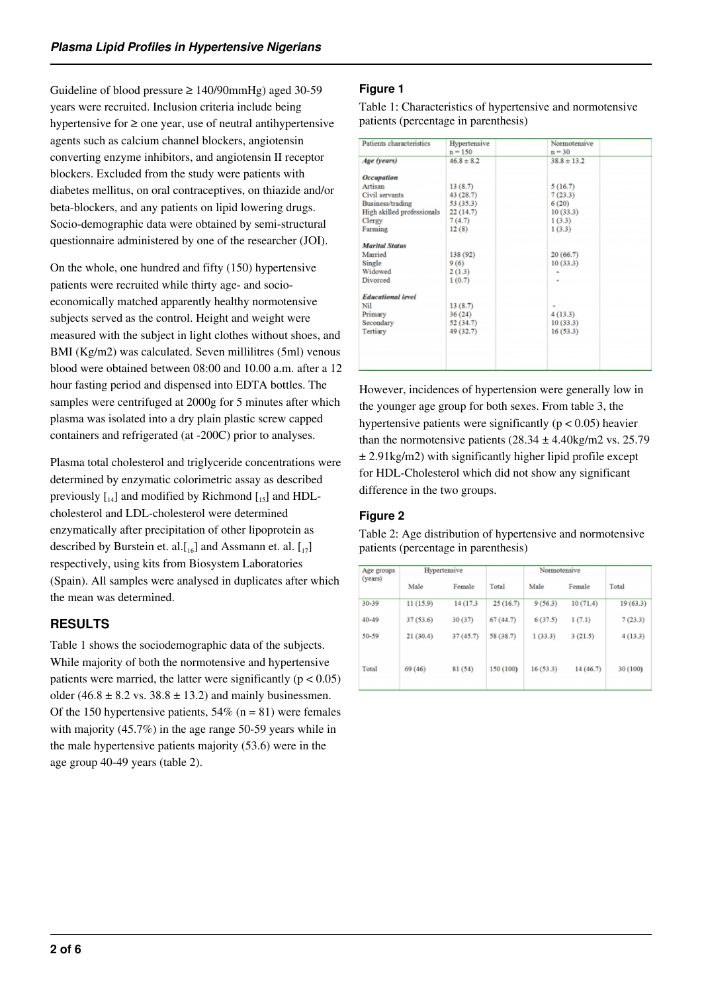Guideline of blood pressure  $\geq 140/90$ mmHg) aged 30-59 years were recruited. Inclusion criteria include being hypertensive for ≥ one year, use of neutral antihypertensive agents such as calcium channel blockers, angiotensin converting enzyme inhibitors, and angiotensin II receptor blockers. Excluded from the study were patients with diabetes mellitus, on oral contraceptives, on thiazide and/or beta-blockers, and any patients on lipid lowering drugs. Socio-demographic data were obtained by semi-structural questionnaire administered by one of the researcher (JOI).

On the whole, one hundred and fifty (150) hypertensive patients were recruited while thirty age- and socioeconomically matched apparently healthy normotensive subjects served as the control. Height and weight were measured with the subject in light clothes without shoes, and BMI (Kg/m2) was calculated. Seven millilitres (5ml) venous blood were obtained between 08:00 and 10.00 a.m. after a 12 hour fasting period and dispensed into EDTA bottles. The samples were centrifuged at 2000g for 5 minutes after which plasma was isolated into a dry plain plastic screw capped containers and refrigerated (at -200C) prior to analyses.

Plasma total cholesterol and triglyceride concentrations were determined by enzymatic colorimetric assay as described previously  $\begin{bmatrix} 1 & 0 \\ 0 & 1 \end{bmatrix}$  and modified by Richmond  $\begin{bmatrix} 1 & 0 \\ 0 & 1 \end{bmatrix}$  and HDLcholesterol and LDL-cholesterol were determined enzymatically after precipitation of other lipoprotein as described by Burstein et. al. $[I_{16}]$  and Assmann et. al.  $[I_{17}]$ respectively, using kits from Biosystem Laboratories (Spain). All samples were analysed in duplicates after which the mean was determined.

# **RESULTS**

Table 1 shows the sociodemographic data of the subjects. While majority of both the normotensive and hypertensive patients were married, the latter were significantly ( $p < 0.05$ ) older (46.8  $\pm$  8.2 vs. 38.8  $\pm$  13.2) and mainly businessmen. Of the 150 hypertensive patients,  $54\%$  (n = 81) were females with majority (45.7%) in the age range 50-59 years while in the male hypertensive patients majority (53.6) were in the age group 40-49 years (table 2).

### **Figure 1**

Table 1: Characteristics of hypertensive and normotensive patients (percentage in parenthesis)

| Patients characteristics   | Hypertensive<br>$n = 150$ | Normotensive<br>$n = 30$ |  |
|----------------------------|---------------------------|--------------------------|--|
| Age (years)                | $46.8 \pm 8.2$            | $38.8 \pm 13.2$          |  |
| <b>Occupation</b>          |                           |                          |  |
| Artisan                    | 13(8.7)                   | 5(16.7)                  |  |
| Civil servants             | 43 (28.7)                 | 7(23.3)                  |  |
| Business/trading           | 53 (35.3)                 | 6(20)                    |  |
| High skilled professionals | 22 (14.7)                 | 10(33.3)                 |  |
| Clergy                     | 7(4.7)                    | 1(3.3)                   |  |
| Farming                    | 12(8)                     | 1(3.3)                   |  |
| <b>Marital Status</b>      |                           |                          |  |
| Married                    | 138 (92)                  | 20(66.7)                 |  |
| Single                     | 9(6)                      | 10(33.3)                 |  |
| Widowed                    | 2(1.3)                    |                          |  |
| Divorced                   | 1(0.7)                    | ٠                        |  |
| <b>Educational level</b>   |                           |                          |  |
| Nil                        | 13(8.7)                   |                          |  |
| Primary                    | 36(24)                    | 4(13.3)                  |  |
| Secondary                  | 52 (34.7)                 | 10(33.3)                 |  |
| Tertiary                   | 49 (32.7)                 | 16(53.3)                 |  |
|                            |                           |                          |  |
|                            |                           |                          |  |
|                            |                           |                          |  |

However, incidences of hypertension were generally low in the younger age group for both sexes. From table 3, the hypertensive patients were significantly ( $p < 0.05$ ) heavier than the normotensive patients  $(28.34 \pm 4.40 \text{kg/m2 vs. } 25.79)$  $\pm$  2.91kg/m2) with significantly higher lipid profile except for HDL-Cholesterol which did not show any significant difference in the two groups.

## **Figure 2**

Table 2: Age distribution of hypertensive and normotensive patients (percentage in parenthesis)

| Hypertensive |           |           | Normotensive |           |          |  |
|--------------|-----------|-----------|--------------|-----------|----------|--|
| Male         | Female    | Total     | Male         | Female    | Total    |  |
| 11(15.9)     | 14 (17.3) | 25(16.7)  | 9(56.3)      | 10(71.4)  | 19(63.3) |  |
| 37(53.6)     | 30(37)    | 67(44.7)  | 6(37.5)      | 1(7.1)    | 7(23.3)  |  |
| 21(30.4)     | 37(45.7)  | 58 (38.7) | 1(33.3)      | 3(21.5)   | 4(13.3)  |  |
| 69 (46)      | 81 (54)   | 150 (100) | 16(53.3)     | 14 (46.7) | 30 (100) |  |
|              |           |           |              |           |          |  |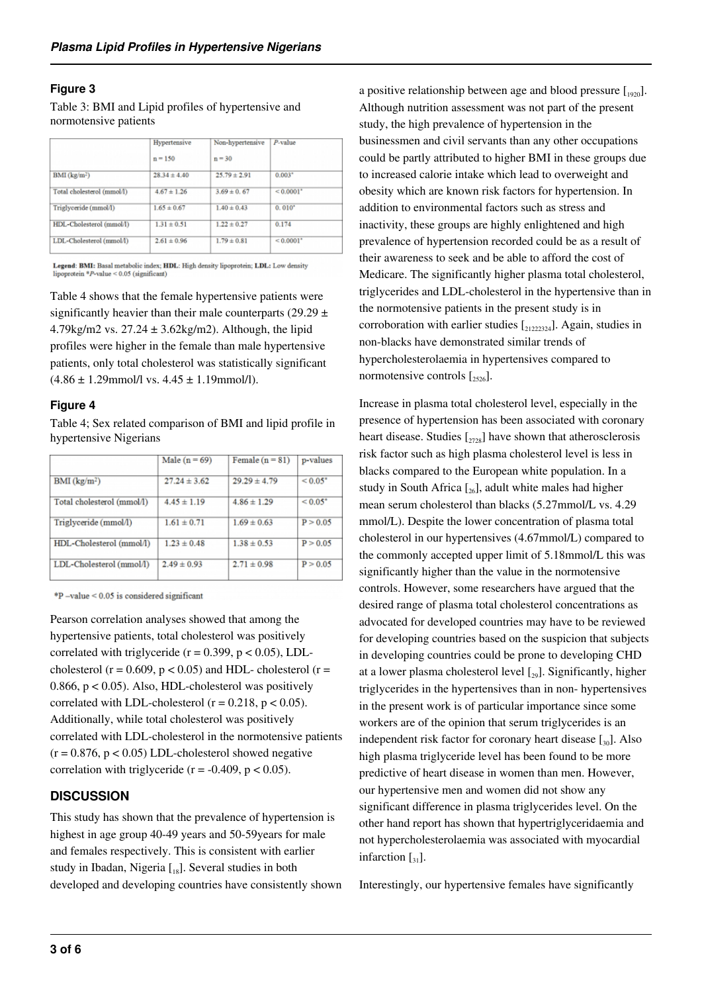#### **Figure 3**

Table 3: BMI and Lipid profiles of hypertensive and normotensive patients

|                            | Hypertensive     | Non-hypertensive | $P$ -value              |  |
|----------------------------|------------------|------------------|-------------------------|--|
|                            | $n = 150$        | $n = 30$         |                         |  |
| $BMI$ ( $kg/m2$ )          | $28.34 \pm 4.40$ | $25.79 \pm 2.91$ | $0.003*$                |  |
| Total cholesterol (mmol/l) | $4.67 \pm 1.26$  | $3.69 \pm 0.67$  | ${}< 0.0001"$           |  |
| Triglyceride (mmol/l)      | $1.65 \pm 0.67$  | $1.40 \pm 0.43$  | $0.010*$                |  |
| HDL-Cholesterol (mmol/l)   | $1.31 \pm 0.51$  | $1.22 \pm 0.27$  | 0.174                   |  |
| LDL-Cholesterol (mmol/l)   | $2.61 \pm 0.96$  | $1.79 \pm 0.81$  | $< 0.0001$ <sup>*</sup> |  |

Legend: BMI: Basal metabolic index; HDL: High density lipoprotein; LDL: Low density lipoprotein \*P-value < 0.05 (significant)

Table 4 shows that the female hypertensive patients were significantly heavier than their male counterparts (29.29  $\pm$ 4.79kg/m2 vs.  $27.24 \pm 3.62$ kg/m2). Although, the lipid profiles were higher in the female than male hypertensive patients, only total cholesterol was statistically significant  $(4.86 \pm 1.29$ mmol/l vs.  $4.45 \pm 1.19$ mmol/l).

#### **Figure 4**

Table 4; Sex related comparison of BMI and lipid profile in hypertensive Nigerians

| Male $(n = 69)$  | Female $(n = 81)$ | p-values     |
|------------------|-------------------|--------------|
| $27.24 \pm 3.62$ | $29.29 \pm 4.79$  | ${}_{0.05}$  |
| $4.45 \pm 1.19$  | $4.86 \pm 1.29$   | ${}_{0.05*}$ |
| $1.61 \pm 0.71$  | $1.69 \pm 0.63$   | P > 0.05     |
| $1.23 \pm 0.48$  | $1.38 \pm 0.53$   | P > 0.05     |
| $2.49 \pm 0.93$  | $2.71 \pm 0.98$   | P > 0.05     |
|                  |                   |              |

\*P-value < 0.05 is considered significant

Pearson correlation analyses showed that among the hypertensive patients, total cholesterol was positively correlated with triglyceride ( $r = 0.399$ ,  $p < 0.05$ ), LDLcholesterol ( $r = 0.609$ ,  $p < 0.05$ ) and HDL- cholesterol ( $r =$ 0.866,  $p < 0.05$ ). Also, HDL-cholesterol was positively correlated with LDL-cholesterol ( $r = 0.218$ ,  $p < 0.05$ ). Additionally, while total cholesterol was positively correlated with LDL-cholesterol in the normotensive patients  $(r = 0.876, p < 0.05)$  LDL-cholesterol showed negative correlation with triglyceride ( $r = -0.409$ ,  $p < 0.05$ ).

## **DISCUSSION**

This study has shown that the prevalence of hypertension is highest in age group 40-49 years and 50-59years for male and females respectively. This is consistent with earlier study in Ibadan, Nigeria [18]. Several studies in both developed and developing countries have consistently shown a positive relationship between age and blood pressure  $[1920]$ . Although nutrition assessment was not part of the present study, the high prevalence of hypertension in the businessmen and civil servants than any other occupations could be partly attributed to higher BMI in these groups due to increased calorie intake which lead to overweight and obesity which are known risk factors for hypertension. In addition to environmental factors such as stress and inactivity, these groups are highly enlightened and high prevalence of hypertension recorded could be as a result of their awareness to seek and be able to afford the cost of Medicare. The significantly higher plasma total cholesterol, triglycerides and LDL-cholesterol in the hypertensive than in the normotensive patients in the present study is in corroboration with earlier studies  $\left[21222324\right]$ . Again, studies in non-blacks have demonstrated similar trends of hypercholesterolaemia in hypertensives compared to normotensive controls  $\left[2526\right]$ .

Increase in plasma total cholesterol level, especially in the presence of hypertension has been associated with coronary heart disease. Studies  $\left[\frac{2728}{2728}\right]$  have shown that atherosclerosis risk factor such as high plasma cholesterol level is less in blacks compared to the European white population. In a study in South Africa  $[\gamma_6]$ , adult white males had higher mean serum cholesterol than blacks (5.27mmol/L vs. 4.29 mmol/L). Despite the lower concentration of plasma total cholesterol in our hypertensives (4.67mmol/L) compared to the commonly accepted upper limit of 5.18mmol/L this was significantly higher than the value in the normotensive controls. However, some researchers have argued that the desired range of plasma total cholesterol concentrations as advocated for developed countries may have to be reviewed for developing countries based on the suspicion that subjects in developing countries could be prone to developing CHD at a lower plasma cholesterol level  $[<sub>29</sub>]$ . Significantly, higher triglycerides in the hypertensives than in non- hypertensives in the present work is of particular importance since some workers are of the opinion that serum triglycerides is an independent risk factor for coronary heart disease  $\left[\begin{smallmatrix}30\end{smallmatrix}\right]$ . Also high plasma triglyceride level has been found to be more predictive of heart disease in women than men. However, our hypertensive men and women did not show any significant difference in plasma triglycerides level. On the other hand report has shown that hypertriglyceridaemia and not hypercholesterolaemia was associated with myocardial infarction  $\lceil_{31}\rceil$ .

Interestingly, our hypertensive females have significantly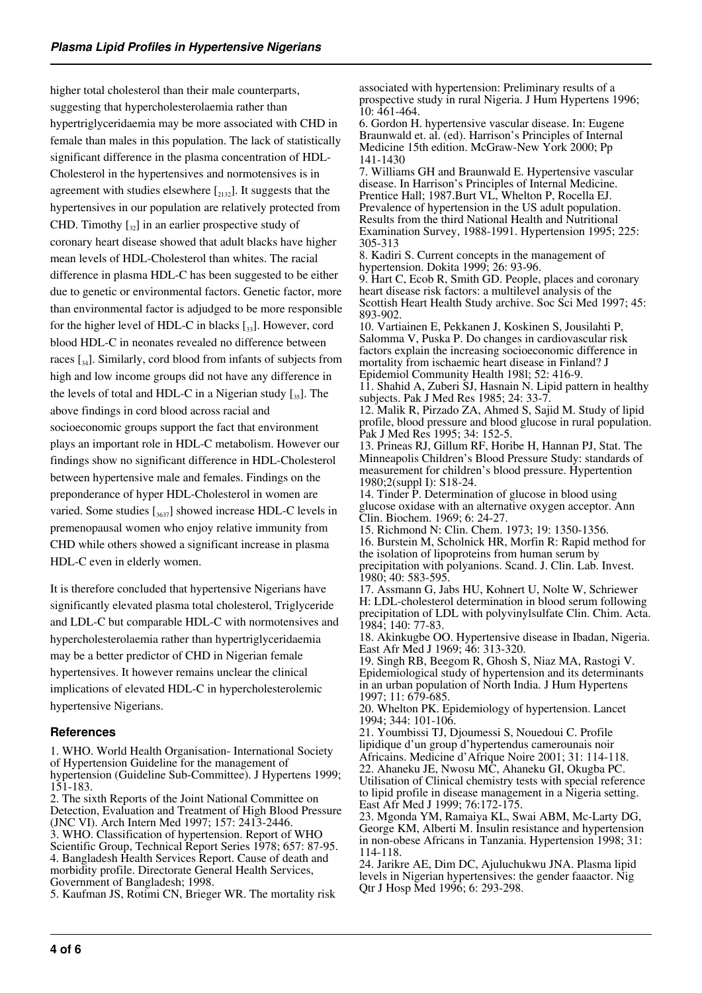higher total cholesterol than their male counterparts, suggesting that hypercholesterolaemia rather than hypertriglyceridaemia may be more associated with CHD in female than males in this population. The lack of statistically significant difference in the plasma concentration of HDL-Cholesterol in the hypertensives and normotensives is in agreement with studies elsewhere  $\left[2132\right]$ . It suggests that the hypertensives in our population are relatively protected from CHD. Timothy  $\left[\begin{smallmatrix} 2 \\ 32 \end{smallmatrix}\right]$  in an earlier prospective study of coronary heart disease showed that adult blacks have higher mean levels of HDL-Cholesterol than whites. The racial difference in plasma HDL-C has been suggested to be either due to genetic or environmental factors. Genetic factor, more than environmental factor is adjudged to be more responsible for the higher level of HDL-C in blacks  $\left[\begin{smallmatrix}3,1\end{smallmatrix}\right]$ . However, cord blood HDL-C in neonates revealed no difference between races  $\left[\begin{smallmatrix}3,4\end{smallmatrix}\right]$ . Similarly, cord blood from infants of subjects from high and low income groups did not have any difference in the levels of total and HDL-C in a Nigerian study  $\left[\right]_{35}$ . The above findings in cord blood across racial and socioeconomic groups support the fact that environment plays an important role in HDL-C metabolism. However our findings show no significant difference in HDL-Cholesterol between hypertensive male and females. Findings on the preponderance of hyper HDL-Cholesterol in women are varied. Some studies  $\left[\frac{3637}{1637}\right]$  showed increase HDL-C levels in premenopausal women who enjoy relative immunity from CHD while others showed a significant increase in plasma HDL-C even in elderly women.

It is therefore concluded that hypertensive Nigerians have significantly elevated plasma total cholesterol, Triglyceride and LDL-C but comparable HDL-C with normotensives and hypercholesterolaemia rather than hypertriglyceridaemia may be a better predictor of CHD in Nigerian female hypertensives. It however remains unclear the clinical implications of elevated HDL-C in hypercholesterolemic hypertensive Nigerians.

#### **References**

1. WHO. World Health Organisation- International Society of Hypertension Guideline for the management of hypertension (Guideline Sub-Committee). J Hypertens 1999; 151-183.

2. The sixth Reports of the Joint National Committee on Detection, Evaluation and Treatment of High Blood Pressure (JNC VI). Arch Intern Med 1997; 157: 2413-2446. 3. WHO. Classification of hypertension. Report of WHO Scientific Group, Technical Report Series 1978; 657: 87-95. 4. Bangladesh Health Services Report. Cause of death and morbidity profile. Directorate General Health Services, Government of Bangladesh; 1998.

5. Kaufman JS, Rotimi CN, Brieger WR. The mortality risk

associated with hypertension: Preliminary results of a prospective study in rural Nigeria. J Hum Hypertens 1996; 10: 461-464.

6. Gordon H. hypertensive vascular disease. In: Eugene Braunwald et. al. (ed). Harrison's Principles of Internal Medicine 15th edition. McGraw-New York 2000; Pp 141-1430

7. Williams GH and Braunwald E. Hypertensive vascular disease. In Harrison's Principles of Internal Medicine. Prentice Hall; 1987.Burt VL, Whelton P, Rocella EJ. Prevalence of hypertension in the US adult population. Results from the third National Health and Nutritional Examination Survey, 1988-1991. Hypertension 1995; 225: 305-313

8. Kadiri S. Current concepts in the management of hypertension. Dokita 1999; 26: 93-96.

9. Hart C, Ecob R, Smith GD. People, places and coronary heart disease risk factors: a multilevel analysis of the Scottish Heart Health Study archive. Soc Sci Med 1997; 45: 893-902.

10. Vartiainen E, Pekkanen J, Koskinen S, Jousilahti P, Salomma V, Puska P. Do changes in cardiovascular risk factors explain the increasing socioeconomic difference in mortality from ischaemic heart disease in Finland? J Epidemiol Community Health 198l; 52: 416-9.

11. Shahid A, Zuberi SJ, Hasnain N. Lipid pattern in healthy subjects. Pak J Med Res 1985; 24: 33-7.

12. Malik R, Pirzado ZA, Ahmed S, Sajid M. Study of lipid profile, blood pressure and blood glucose in rural population. Pak J Med Res 1995; 34: 152-5.

13. Prineas RJ, Gillum RF, Horibe H, Hannan PJ, Stat. The Minneapolis Children's Blood Pressure Study: standards of measurement for children's blood pressure. Hypertention 1980;2(suppl I): S18-24.

14. Tinder P. Determination of glucose in blood using glucose oxidase with an alternative oxygen acceptor. Ann Clin. Biochem. 1969; 6: 24-27.

15. Richmond N: Clin. Chem. 1973; 19: 1350-1356. 16. Burstein M, Scholnick HR, Morfin R: Rapid method for the isolation of lipoproteins from human serum by precipitation with polyanions. Scand. J. Clin. Lab. Invest. 1980; 40: 583-595.

17. Assmann G, Jabs HU, Kohnert U, Nolte W, Schriewer H: LDL-cholesterol determination in blood serum following precipitation of LDL with polyvinylsulfate Clin. Chim. Acta. 1984; 140: 77-83.

18. Akinkugbe OO. Hypertensive disease in Ibadan, Nigeria. East Afr Med J 1969; 46: 313-320.

19. Singh RB, Beegom R, Ghosh S, Niaz MA, Rastogi V. Epidemiological study of hypertension and its determinants in an urban population of North India. J Hum Hypertens 1997; 11: 679-685.

20. Whelton PK. Epidemiology of hypertension. Lancet 1994; 344: 101-106.

21. Youmbissi TJ, Djoumessi S, Nouedoui C. Profile lipidique d'un group d'hypertendus camerounais noir Africains. Medicine d'Afrique Noire 2001; 31: 114-118. 22. Ahaneku JE, Nwosu MC, Ahaneku GI, Okugba PC. Utilisation of Clinical chemistry tests with special reference to lipid profile in disease management in a Nigeria setting. East Afr Med J 1999; 76:172-175.

23. Mgonda YM, Ramaiya KL, Swai ABM, Mc-Larty DG, George KM, Alberti M. Insulin resistance and hypertension in non-obese Africans in Tanzania. Hypertension 1998; 31: 114-118.

24. Jarikre AE, Dim DC, Ajuluchukwu JNA. Plasma lipid levels in Nigerian hypertensives: the gender faaactor. Nig Qtr J Hosp Med 1996; 6: 293-298.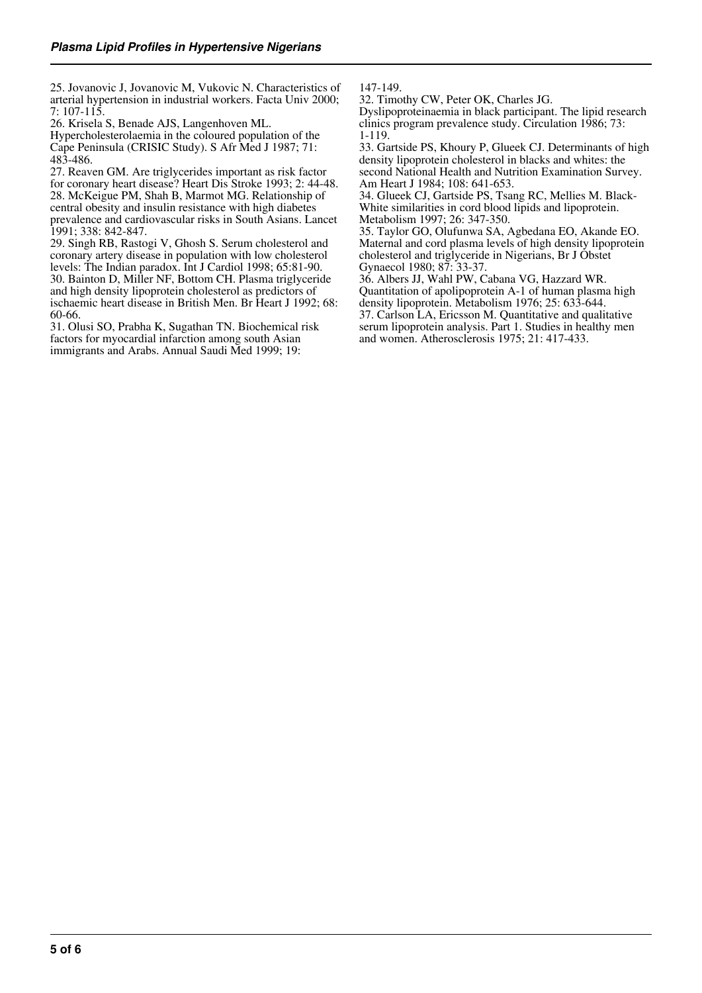25. Jovanovic J, Jovanovic M, Vukovic N. Characteristics of arterial hypertension in industrial workers. Facta Univ 2000; 7: 107-115.

26. Krisela S, Benade AJS, Langenhoven ML.

Hypercholesterolaemia in the coloured population of the Cape Peninsula (CRISIC Study). S Afr Med J 1987; 71: 483-486.

27. Reaven GM. Are triglycerides important as risk factor for coronary heart disease? Heart Dis Stroke 1993; 2: 44-48. 28. McKeigue PM, Shah B, Marmot MG. Relationship of central obesity and insulin resistance with high diabetes prevalence and cardiovascular risks in South Asians. Lancet 1991; 338: 842-847.

29. Singh RB, Rastogi V, Ghosh S. Serum cholesterol and coronary artery disease in population with low cholesterol levels: The Indian paradox. Int J Cardiol 1998; 65:81-90. 30. Bainton D, Miller NF, Bottom CH. Plasma triglyceride and high density lipoprotein cholesterol as predictors of ischaemic heart disease in British Men. Br Heart J 1992; 68: 60-66.

31. Olusi SO, Prabha K, Sugathan TN. Biochemical risk factors for myocardial infarction among south Asian immigrants and Arabs. Annual Saudi Med 1999; 19:

147-149.

32. Timothy CW, Peter OK, Charles JG. Dyslipoproteinaemia in black participant. The lipid research clinics program prevalence study. Circulation 1986; 73: 1-119.

33. Gartside PS, Khoury P, Glueek CJ. Determinants of high density lipoprotein cholesterol in blacks and whites: the second National Health and Nutrition Examination Survey. Am Heart J 1984; 108: 641-653.

34. Glueek CJ, Gartside PS, Tsang RC, Mellies M. Black-White similarities in cord blood lipids and lipoprotein. Metabolism 1997; 26: 347-350.

35. Taylor GO, Olufunwa SA, Agbedana EO, Akande EO. Maternal and cord plasma levels of high density lipoprotein cholesterol and triglyceride in Nigerians, Br J Obstet Gynaecol 1980; 87: 33-37.

36. Albers JJ, Wahl PW, Cabana VG, Hazzard WR. Quantitation of apolipoprotein A-1 of human plasma high density lipoprotein. Metabolism 1976; 25: 633-644. 37. Carlson LA, Ericsson M. Quantitative and qualitative

serum lipoprotein analysis. Part 1. Studies in healthy men and women. Atherosclerosis 1975; 21: 417-433.